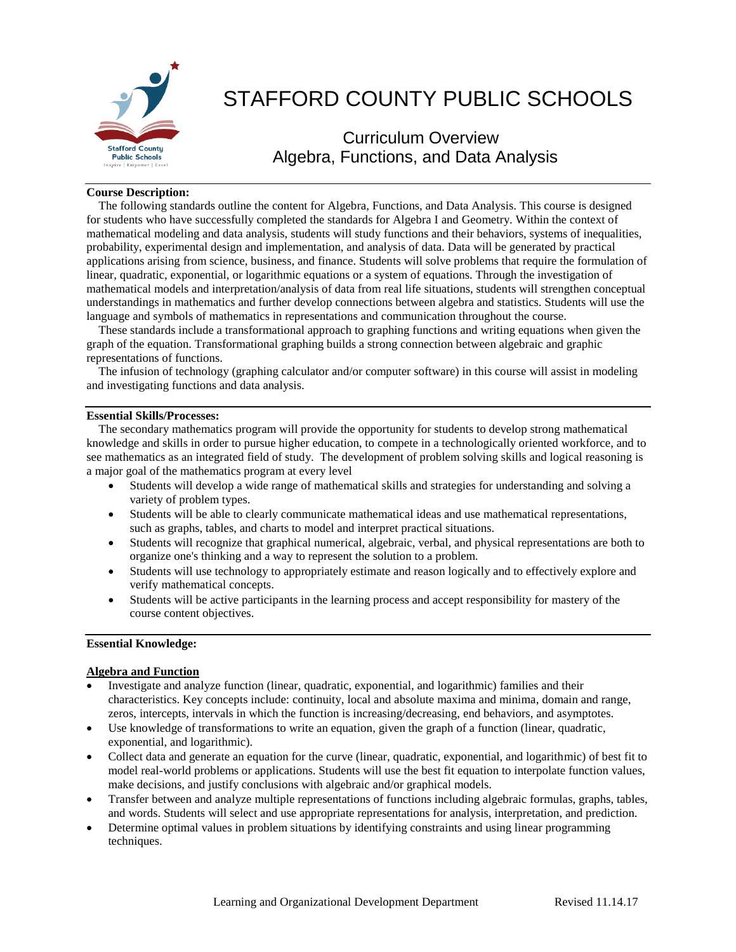

# STAFFORD COUNTY PUBLIC SCHOOLS

Curriculum Overview Algebra, Functions, and Data Analysis

## **Course Description:**

 The following standards outline the content for Algebra, Functions, and Data Analysis. This course is designed for students who have successfully completed the standards for Algebra I and Geometry. Within the context of mathematical modeling and data analysis, students will study functions and their behaviors, systems of inequalities, probability, experimental design and implementation, and analysis of data. Data will be generated by practical applications arising from science, business, and finance. Students will solve problems that require the formulation of linear, quadratic, exponential, or logarithmic equations or a system of equations. Through the investigation of mathematical models and interpretation/analysis of data from real life situations, students will strengthen conceptual understandings in mathematics and further develop connections between algebra and statistics. Students will use the language and symbols of mathematics in representations and communication throughout the course.

 These standards include a transformational approach to graphing functions and writing equations when given the graph of the equation. Transformational graphing builds a strong connection between algebraic and graphic representations of functions.

 The infusion of technology (graphing calculator and/or computer software) in this course will assist in modeling and investigating functions and data analysis.

### **Essential Skills/Processes:**

 The secondary mathematics program will provide the opportunity for students to develop strong mathematical knowledge and skills in order to pursue higher education, to compete in a technologically oriented workforce, and to see mathematics as an integrated field of study. The development of problem solving skills and logical reasoning is a major goal of the mathematics program at every level

- Students will develop a wide range of mathematical skills and strategies for understanding and solving a variety of problem types.
- Students will be able to clearly communicate mathematical ideas and use mathematical representations, such as graphs, tables, and charts to model and interpret practical situations.
- Students will recognize that graphical numerical, algebraic, verbal, and physical representations are both to organize one's thinking and a way to represent the solution to a problem.
- Students will use technology to appropriately estimate and reason logically and to effectively explore and verify mathematical concepts.
- Students will be active participants in the learning process and accept responsibility for mastery of the course content objectives.

### **Essential Knowledge:**

#### **Algebra and Function**

- Investigate and analyze function (linear, quadratic, exponential, and logarithmic) families and their characteristics. Key concepts include: continuity, local and absolute maxima and minima, domain and range, zeros, intercepts, intervals in which the function is increasing/decreasing, end behaviors, and asymptotes.
- Use knowledge of transformations to write an equation, given the graph of a function (linear, quadratic, exponential, and logarithmic).
- Collect data and generate an equation for the curve (linear, quadratic, exponential, and logarithmic) of best fit to model real-world problems or applications. Students will use the best fit equation to interpolate function values, make decisions, and justify conclusions with algebraic and/or graphical models.
- Transfer between and analyze multiple representations of functions including algebraic formulas, graphs, tables, and words. Students will select and use appropriate representations for analysis, interpretation, and prediction.
- Determine optimal values in problem situations by identifying constraints and using linear programming techniques.